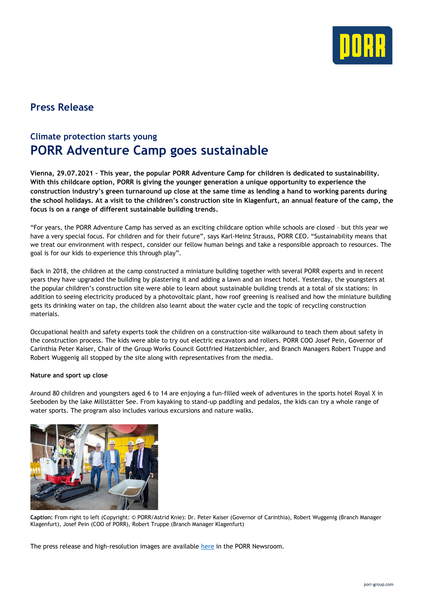

## **Press Release**

## **Climate protection starts young PORR Adventure Camp goes sustainable**

**Vienna, 29.07.2021 – This year, the popular PORR Adventure Camp for children is dedicated to sustainability. With this childcare option, PORR is giving the younger generation a unique opportunity to experience the construction industry's green turnaround up close at the same time as lending a hand to working parents during the school holidays. At a visit to the children's construction site in Klagenfurt, an annual feature of the camp, the focus is on a range of different sustainable building trends.**

"For years, the PORR Adventure Camp has served as an exciting childcare option while schools are closed – but this year we have a very special focus. For children and for their future", says Karl-Heinz Strauss, PORR CEO. "Sustainability means that we treat our environment with respect, consider our fellow human beings and take a responsible approach to resources. The goal is for our kids to experience this through play".

Back in 2018, the children at the camp constructed a miniature building together with several PORR experts and in recent years they have upgraded the building by plastering it and adding a lawn and an insect hotel. Yesterday, the youngsters at the popular children's construction site were able to learn about sustainable building trends at a total of six stations: In addition to seeing electricity produced by a photovoltaic plant, how roof greening is realised and how the miniature building gets its drinking water on tap, the children also learnt about the water cycle and the topic of recycling construction materials.

Occupational health and safety experts took the children on a construction-site walkaround to teach them about safety in the construction process. The kids were able to try out electric excavators and rollers. PORR COO Josef Pein, Governor of Carinthia Peter Kaiser, Chair of the Group Works Council Gottfried Hatzenbichler, and Branch Managers Robert Truppe and Robert Wuggenig all stopped by the site along with representatives from the media.

## **Nature and sport up close**

Around 80 children and youngsters aged 6 to 14 are enjoying a fun-filled week of adventures in the sports hotel Royal X in Seeboden by the lake Millstätter See. From kayaking to stand-up paddling and pedalos, the kids can try a whole range of water sports. The program also includes various excursions and nature walks.



**Caption:** From right to left (Copyright: © PORR/Astrid Knie): Dr. Peter Kaiser (Governor of Carinthia), Robert Wuggenig (Branch Manager Klagenfurt), Josef Pein (COO of PORR), Robert Truppe (Branch Manager Klagenfurt)

The press release and high-resolution images are available [here](https://porr-group.com/en/press/press-release/news/porr-adventure-camp-goes-sustainable?utm_source=E-Mail&utm_medium=press_release&utm_campaign=Sustainability) in the PORR Newsroom.